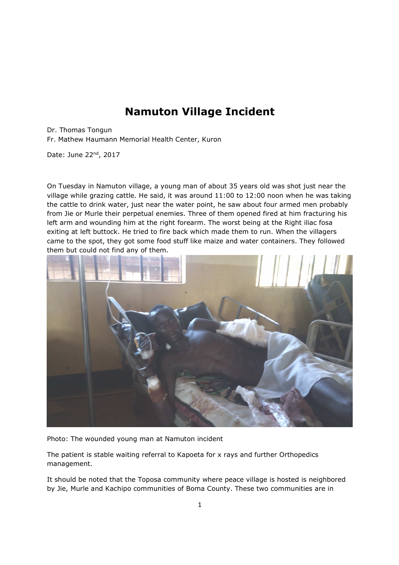## **Namuton Village Incident**

Dr. Thomas Tongun Fr. Mathew Haumann Memorial Health Center, Kuron

Date: June 22nd, 2017

On Tuesday in Namuton village, a young man of about 35 years old was shot just near the village while grazing cattle. He said, it was around 11:00 to 12:00 noon when he was taking the cattle to drink water, just near the water point, he saw about four armed men probably from Jie or Murle their perpetual enemies. Three of them opened fired at him fracturing his left arm and wounding him at the right forearm. The worst being at the Right iliac fosa exiting at left buttock. He tried to fire back which made them to run. When the villagers came to the spot, they got some food stuff like maize and water containers. They followed them but could not find any of them.



Photo: The wounded young man at Namuton incident

The patient is stable waiting referral to Kapoeta for x rays and further Orthopedics management.

It should be noted that the Toposa community where peace village is hosted is neighbored by Jie, Murle and Kachipo communities of Boma County. These two communities are in